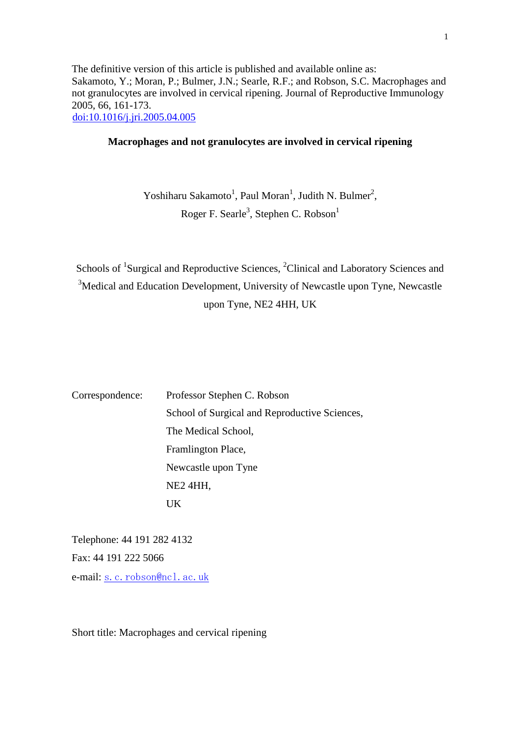The definitive version of this article is published and available online as: Sakamoto, Y.; Moran, P.; Bulmer, J.N.; Searle, R.F.; and Robson, S.C. Macrophages and not granulocytes are involved in cervical ripening. Journal of Reproductive Immunology 2005, 66, 161-173. doi:10.1016/j.jri.2005.04.005

## **Macrophages and not granulocytes are involved in cervical ripening**

Yoshiharu Sakamoto<sup>1</sup>, Paul Moran<sup>1</sup>, Judith N. Bulmer<sup>2</sup>, Roger F. Searle<sup>3</sup>, Stephen C. Robson<sup>1</sup>

Schools of <sup>1</sup>Surgical and Reproductive Sciences, <sup>2</sup>Clinical and Laboratory Sciences and <sup>3</sup>Medical and Education Development, University of Newcastle upon Tyne, Newcastle upon Tyne, NE2 4HH, UK

| Correspondence: | Professor Stephen C. Robson                   |
|-----------------|-----------------------------------------------|
|                 | School of Surgical and Reproductive Sciences, |
|                 | The Medical School,                           |
|                 | Framlington Place,                            |
|                 | Newcastle upon Tyne                           |
|                 | NE2 4HH,                                      |
|                 | UK                                            |
|                 |                                               |

Telephone: 44 191 282 4132 Fax: 44 191 222 5066 e-mail: s.c.robson@ncl.ac.uk

Short title: Macrophages and cervical ripening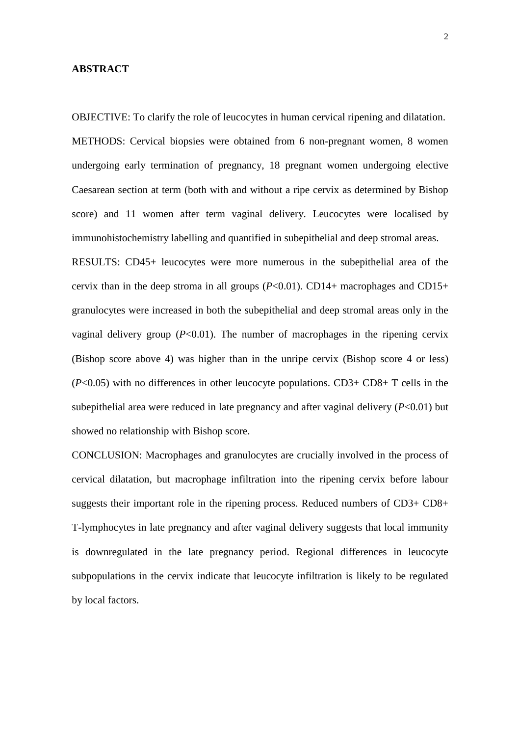## **ABSTRACT**

OBJECTIVE: To clarify the role of leucocytes in human cervical ripening and dilatation. METHODS: Cervical biopsies were obtained from 6 non-pregnant women, 8 women undergoing early termination of pregnancy, 18 pregnant women undergoing elective Caesarean section at term (both with and without a ripe cervix as determined by Bishop score) and 11 women after term vaginal delivery. Leucocytes were localised by immunohistochemistry labelling and quantified in subepithelial and deep stromal areas.

RESULTS: CD45+ leucocytes were more numerous in the subepithelial area of the cervix than in the deep stroma in all groups  $(P<0.01)$ . CD14+ macrophages and CD15+ granulocytes were increased in both the subepithelial and deep stromal areas only in the vaginal delivery group  $(P<0.01)$ . The number of macrophages in the ripening cervix (Bishop score above 4) was higher than in the unripe cervix (Bishop score 4 or less)  $(P<0.05)$  with no differences in other leucocyte populations. CD3+ CD8+ T cells in the subepithelial area were reduced in late pregnancy and after vaginal delivery (*P*<0.01) but showed no relationship with Bishop score.

CONCLUSION: Macrophages and granulocytes are crucially involved in the process of cervical dilatation, but macrophage infiltration into the ripening cervix before labour suggests their important role in the ripening process. Reduced numbers of CD3+ CD8+ T-lymphocytes in late pregnancy and after vaginal delivery suggests that local immunity is downregulated in the late pregnancy period. Regional differences in leucocyte subpopulations in the cervix indicate that leucocyte infiltration is likely to be regulated by local factors.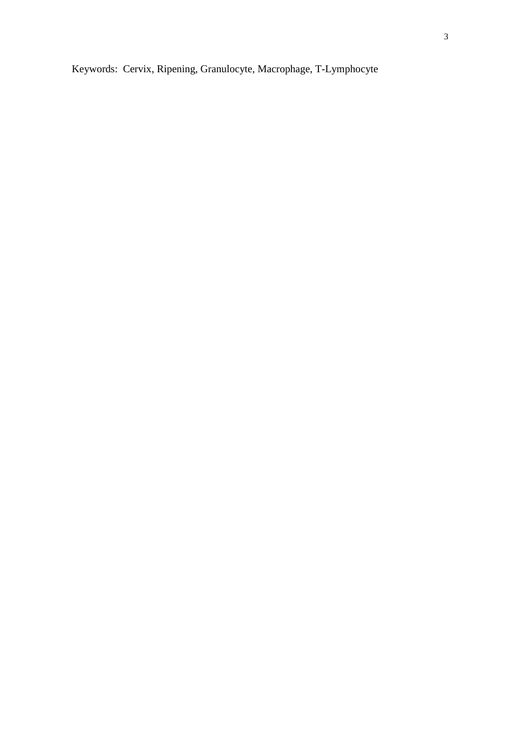Keywords: Cervix, Ripening, Granulocyte, Macrophage, T-Lymphocyte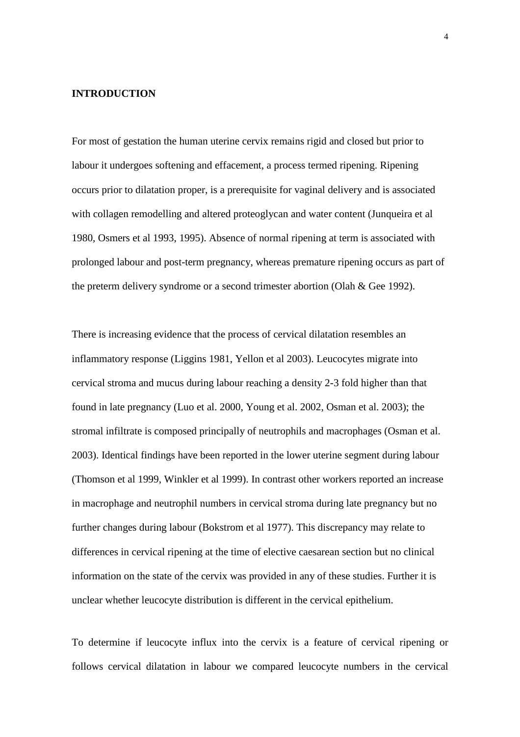#### **INTRODUCTION**

For most of gestation the human uterine cervix remains rigid and closed but prior to labour it undergoes softening and effacement, a process termed ripening. Ripening occurs prior to dilatation proper, is a prerequisite for vaginal delivery and is associated with collagen remodelling and altered proteoglycan and water content (Junqueira et al 1980, Osmers et al 1993, 1995). Absence of normal ripening at term is associated with prolonged labour and post-term pregnancy, whereas premature ripening occurs as part of the preterm delivery syndrome or a second trimester abortion (Olah & Gee 1992).

There is increasing evidence that the process of cervical dilatation resembles an inflammatory response (Liggins 1981, Yellon et al 2003). Leucocytes migrate into cervical stroma and mucus during labour reaching a density 2-3 fold higher than that found in late pregnancy (Luo et al. 2000, Young et al. 2002, Osman et al. 2003); the stromal infiltrate is composed principally of neutrophils and macrophages (Osman et al. 2003). Identical findings have been reported in the lower uterine segment during labour (Thomson et al 1999, Winkler et al 1999). In contrast other workers reported an increase in macrophage and neutrophil numbers in cervical stroma during late pregnancy but no further changes during labour (Bokstrom et al 1977). This discrepancy may relate to differences in cervical ripening at the time of elective caesarean section but no clinical information on the state of the cervix was provided in any of these studies. Further it is unclear whether leucocyte distribution is different in the cervical epithelium.

To determine if leucocyte influx into the cervix is a feature of cervical ripening or follows cervical dilatation in labour we compared leucocyte numbers in the cervical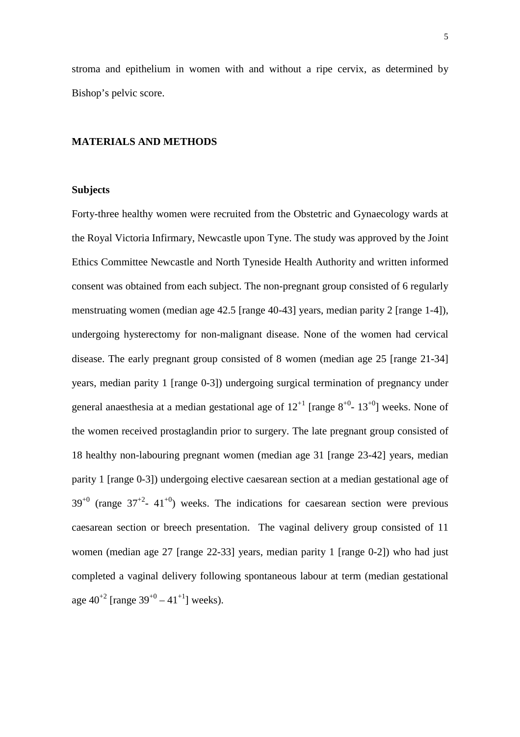stroma and epithelium in women with and without a ripe cervix, as determined by Bishop's pelvic score.

## **MATERIALS AND METHODS**

## **Subjects**

Forty-three healthy women were recruited from the Obstetric and Gynaecology wards at the Royal Victoria Infirmary, Newcastle upon Tyne. The study was approved by the Joint Ethics Committee Newcastle and North Tyneside Health Authority and written informed consent was obtained from each subject. The non-pregnant group consisted of 6 regularly menstruating women (median age 42.5 [range 40-43] years, median parity 2 [range 1-4]), undergoing hysterectomy for non-malignant disease. None of the women had cervical disease. The early pregnant group consisted of 8 women (median age 25 [range 21-34] years, median parity 1 [range 0-3]) undergoing surgical termination of pregnancy under general anaesthesia at a median gestational age of  $12<sup>+1</sup>$  [range  $8<sup>+0</sup>$ - 13<sup>+0</sup>] weeks. None of the women received prostaglandin prior to surgery. The late pregnant group consisted of 18 healthy non-labouring pregnant women (median age 31 [range 23-42] years, median parity 1 [range 0-3]) undergoing elective caesarean section at a median gestational age of  $39^{+0}$  (range  $37^{+2}$ -  $41^{+0}$ ) weeks. The indications for caesarean section were previous caesarean section or breech presentation. The vaginal delivery group consisted of 11 women (median age 27 [range 22-33] years, median parity 1 [range 0-2]) who had just completed a vaginal delivery following spontaneous labour at term (median gestational age  $40^{+2}$  [range  $39^{+0} - 41^{+1}$ ] weeks).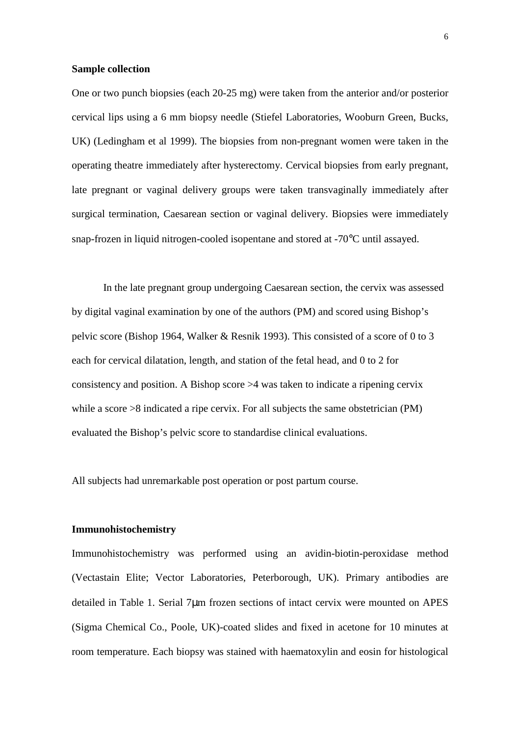#### **Sample collection**

One or two punch biopsies (each 20-25 mg) were taken from the anterior and/or posterior cervical lips using a 6 mm biopsy needle (Stiefel Laboratories, Wooburn Green, Bucks, UK) (Ledingham et al 1999). The biopsies from non-pregnant women were taken in the operating theatre immediately after hysterectomy. Cervical biopsies from early pregnant, late pregnant or vaginal delivery groups were taken transvaginally immediately after surgical termination, Caesarean section or vaginal delivery. Biopsies were immediately snap-frozen in liquid nitrogen-cooled isopentane and stored at -70°C until assayed.

In the late pregnant group undergoing Caesarean section, the cervix was assessed by digital vaginal examination by one of the authors (PM) and scored using Bishop's pelvic score (Bishop 1964, Walker & Resnik 1993). This consisted of a score of 0 to 3 each for cervical dilatation, length, and station of the fetal head, and 0 to 2 for consistency and position. A Bishop score >4 was taken to indicate a ripening cervix while a score >8 indicated a ripe cervix. For all subjects the same obstetrician (PM) evaluated the Bishop's pelvic score to standardise clinical evaluations.

All subjects had unremarkable post operation or post partum course.

#### **Immunohistochemistry**

Immunohistochemistry was performed using an avidin-biotin-peroxidase method (Vectastain Elite; Vector Laboratories, Peterborough, UK). Primary antibodies are detailed in Table 1. Serial 7µm frozen sections of intact cervix were mounted on APES (Sigma Chemical Co., Poole, UK)-coated slides and fixed in acetone for 10 minutes at room temperature. Each biopsy was stained with haematoxylin and eosin for histological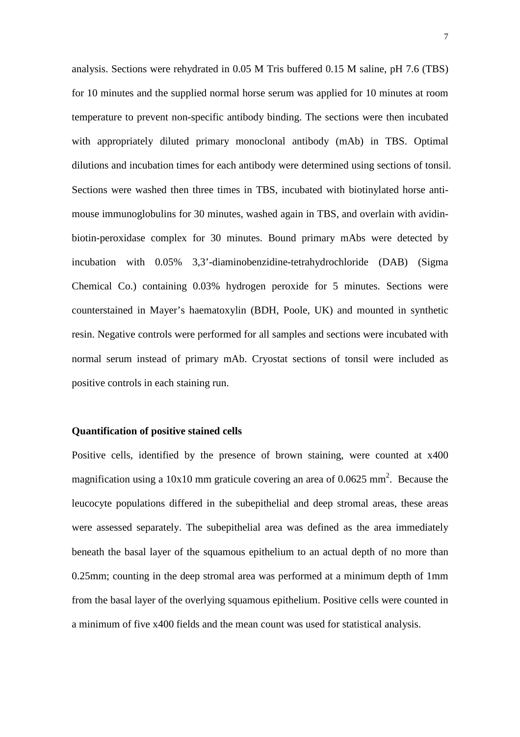analysis. Sections were rehydrated in 0.05 M Tris buffered 0.15 M saline, pH 7.6 (TBS) for 10 minutes and the supplied normal horse serum was applied for 10 minutes at room temperature to prevent non-specific antibody binding. The sections were then incubated with appropriately diluted primary monoclonal antibody (mAb) in TBS. Optimal dilutions and incubation times for each antibody were determined using sections of tonsil. Sections were washed then three times in TBS, incubated with biotinylated horse antimouse immunoglobulins for 30 minutes, washed again in TBS, and overlain with avidinbiotin-peroxidase complex for 30 minutes. Bound primary mAbs were detected by incubation with 0.05% 3,3'-diaminobenzidine-tetrahydrochloride (DAB) (Sigma Chemical Co.) containing 0.03% hydrogen peroxide for 5 minutes. Sections were counterstained in Mayer's haematoxylin (BDH, Poole, UK) and mounted in synthetic resin. Negative controls were performed for all samples and sections were incubated with normal serum instead of primary mAb. Cryostat sections of tonsil were included as positive controls in each staining run.

#### **Quantification of positive stained cells**

Positive cells, identified by the presence of brown staining, were counted at x400 magnification using a 10x10 mm graticule covering an area of 0.0625 mm<sup>2</sup>. Because the leucocyte populations differed in the subepithelial and deep stromal areas, these areas were assessed separately. The subepithelial area was defined as the area immediately beneath the basal layer of the squamous epithelium to an actual depth of no more than 0.25mm; counting in the deep stromal area was performed at a minimum depth of 1mm from the basal layer of the overlying squamous epithelium. Positive cells were counted in a minimum of five x400 fields and the mean count was used for statistical analysis.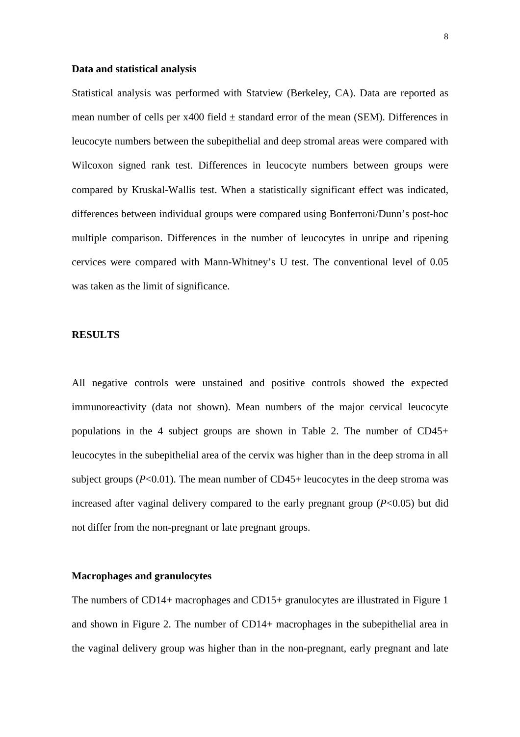#### **Data and statistical analysis**

Statistical analysis was performed with Statview (Berkeley, CA). Data are reported as mean number of cells per  $x400$  field  $\pm$  standard error of the mean (SEM). Differences in leucocyte numbers between the subepithelial and deep stromal areas were compared with Wilcoxon signed rank test. Differences in leucocyte numbers between groups were compared by Kruskal-Wallis test. When a statistically significant effect was indicated, differences between individual groups were compared using Bonferroni/Dunn's post-hoc multiple comparison. Differences in the number of leucocytes in unripe and ripening cervices were compared with Mann-Whitney's U test. The conventional level of 0.05 was taken as the limit of significance.

#### **RESULTS**

All negative controls were unstained and positive controls showed the expected immunoreactivity (data not shown). Mean numbers of the major cervical leucocyte populations in the 4 subject groups are shown in Table 2. The number of CD45+ leucocytes in the subepithelial area of the cervix was higher than in the deep stroma in all subject groups  $(P<0.01)$ . The mean number of CD45+ leucocytes in the deep stroma was increased after vaginal delivery compared to the early pregnant group (*P*<0.05) but did not differ from the non-pregnant or late pregnant groups.

#### **Macrophages and granulocytes**

The numbers of CD14+ macrophages and CD15+ granulocytes are illustrated in Figure 1 and shown in Figure 2. The number of CD14+ macrophages in the subepithelial area in the vaginal delivery group was higher than in the non-pregnant, early pregnant and late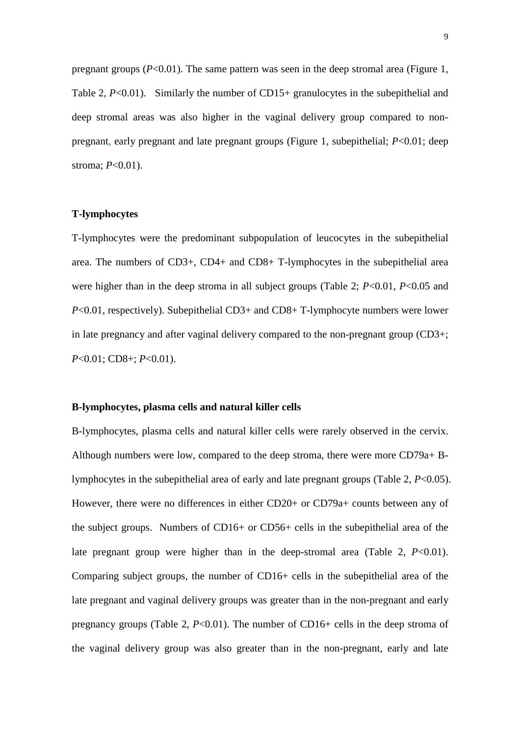pregnant groups (*P*<0.01). The same pattern was seen in the deep stromal area (Figure 1, Table 2, *P*<0.01). Similarly the number of CD15+ granulocytes in the subepithelial and deep stromal areas was also higher in the vaginal delivery group compared to nonpregnant, early pregnant and late pregnant groups (Figure 1, subepithelial; *P*<0.01; deep stroma; *P*<0.01).

## **T-lymphocytes**

T-lymphocytes were the predominant subpopulation of leucocytes in the subepithelial area. The numbers of CD3+, CD4+ and CD8+ T-lymphocytes in the subepithelial area were higher than in the deep stroma in all subject groups (Table 2; *P*<0.01, *P*<0.05 and *P*<0.01, respectively). Subepithelial CD3+ and CD8+ T-lymphocyte numbers were lower in late pregnancy and after vaginal delivery compared to the non-pregnant group (CD3+; *P*<0.01; CD8+; *P*<0.01).

## **B-lymphocytes, plasma cells and natural killer cells**

B-lymphocytes, plasma cells and natural killer cells were rarely observed in the cervix. Although numbers were low, compared to the deep stroma, there were more CD79a+ Blymphocytes in the subepithelial area of early and late pregnant groups (Table 2, *P*<0.05). However, there were no differences in either CD20+ or CD79a+ counts between any of the subject groups. Numbers of CD16+ or CD56+ cells in the subepithelial area of the late pregnant group were higher than in the deep-stromal area (Table 2,  $P<0.01$ ). Comparing subject groups, the number of CD16+ cells in the subepithelial area of the late pregnant and vaginal delivery groups was greater than in the non-pregnant and early pregnancy groups (Table 2, *P*<0.01). The number of CD16+ cells in the deep stroma of the vaginal delivery group was also greater than in the non-pregnant, early and late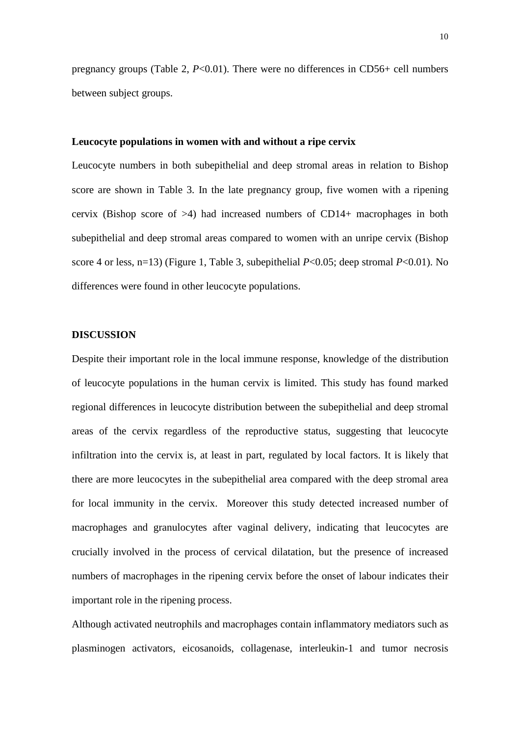pregnancy groups (Table 2,  $P<0.01$ ). There were no differences in CD56+ cell numbers between subject groups.

## **Leucocyte populations in women with and without a ripe cervix**

Leucocyte numbers in both subepithelial and deep stromal areas in relation to Bishop score are shown in Table 3. In the late pregnancy group, five women with a ripening cervix (Bishop score of >4) had increased numbers of CD14+ macrophages in both subepithelial and deep stromal areas compared to women with an unripe cervix (Bishop score 4 or less, n=13) (Figure 1, Table 3, subepithelial *P*<0.05; deep stromal *P*<0.01). No differences were found in other leucocyte populations.

#### **DISCUSSION**

Despite their important role in the local immune response, knowledge of the distribution of leucocyte populations in the human cervix is limited. This study has found marked regional differences in leucocyte distribution between the subepithelial and deep stromal areas of the cervix regardless of the reproductive status, suggesting that leucocyte infiltration into the cervix is, at least in part, regulated by local factors. It is likely that there are more leucocytes in the subepithelial area compared with the deep stromal area for local immunity in the cervix. Moreover this study detected increased number of macrophages and granulocytes after vaginal delivery, indicating that leucocytes are crucially involved in the process of cervical dilatation, but the presence of increased numbers of macrophages in the ripening cervix before the onset of labour indicates their important role in the ripening process.

Although activated neutrophils and macrophages contain inflammatory mediators such as plasminogen activators, eicosanoids, collagenase, interleukin-1 and tumor necrosis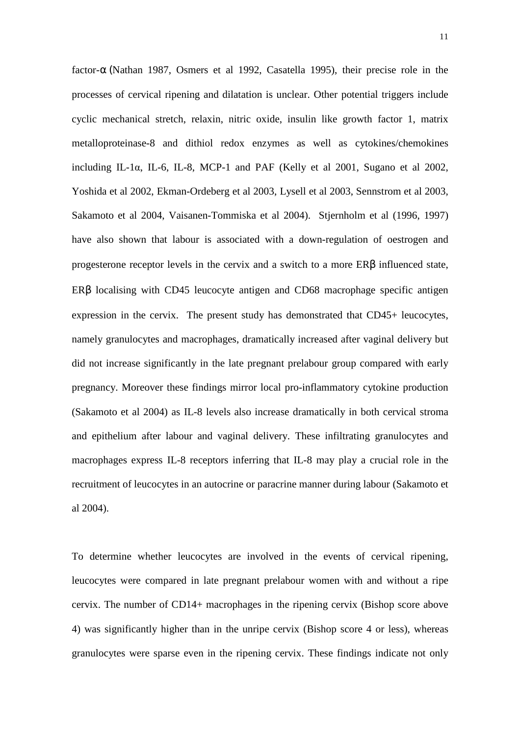factor-α (Nathan 1987, Osmers et al 1992, Casatella 1995), their precise role in the processes of cervical ripening and dilatation is unclear. Other potential triggers include cyclic mechanical stretch, relaxin, nitric oxide, insulin like growth factor 1, matrix metalloproteinase-8 and dithiol redox enzymes as well as cytokines/chemokines including IL-1α, IL-6, IL-8, MCP-1 and PAF (Kelly et al 2001, Sugano et al 2002, Yoshida et al 2002, Ekman-Ordeberg et al 2003, Lysell et al 2003, Sennstrom et al 2003, Sakamoto et al 2004, Vaisanen-Tommiska et al 2004). Stjernholm et al (1996, 1997) have also shown that labour is associated with a down-regulation of oestrogen and progesterone receptor levels in the cervix and a switch to a more ERβ influenced state, ERβ localising with CD45 leucocyte antigen and CD68 macrophage specific antigen expression in the cervix. The present study has demonstrated that CD45+ leucocytes, namely granulocytes and macrophages, dramatically increased after vaginal delivery but did not increase significantly in the late pregnant prelabour group compared with early pregnancy. Moreover these findings mirror local pro-inflammatory cytokine production (Sakamoto et al 2004) as IL-8 levels also increase dramatically in both cervical stroma and epithelium after labour and vaginal delivery. These infiltrating granulocytes and macrophages express IL-8 receptors inferring that IL-8 may play a crucial role in the recruitment of leucocytes in an autocrine or paracrine manner during labour (Sakamoto et al 2004).

To determine whether leucocytes are involved in the events of cervical ripening, leucocytes were compared in late pregnant prelabour women with and without a ripe cervix. The number of CD14+ macrophages in the ripening cervix (Bishop score above 4) was significantly higher than in the unripe cervix (Bishop score 4 or less), whereas granulocytes were sparse even in the ripening cervix. These findings indicate not only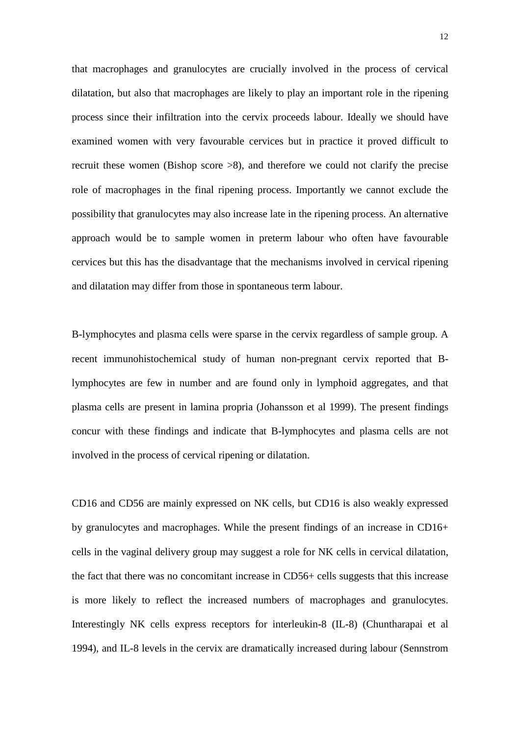that macrophages and granulocytes are crucially involved in the process of cervical dilatation, but also that macrophages are likely to play an important role in the ripening process since their infiltration into the cervix proceeds labour. Ideally we should have examined women with very favourable cervices but in practice it proved difficult to recruit these women (Bishop score >8), and therefore we could not clarify the precise role of macrophages in the final ripening process. Importantly we cannot exclude the possibility that granulocytes may also increase late in the ripening process. An alternative approach would be to sample women in preterm labour who often have favourable cervices but this has the disadvantage that the mechanisms involved in cervical ripening and dilatation may differ from those in spontaneous term labour.

B-lymphocytes and plasma cells were sparse in the cervix regardless of sample group. A recent immunohistochemical study of human non-pregnant cervix reported that Blymphocytes are few in number and are found only in lymphoid aggregates, and that plasma cells are present in lamina propria (Johansson et al 1999). The present findings concur with these findings and indicate that B-lymphocytes and plasma cells are not involved in the process of cervical ripening or dilatation.

CD16 and CD56 are mainly expressed on NK cells, but CD16 is also weakly expressed by granulocytes and macrophages. While the present findings of an increase in CD16+ cells in the vaginal delivery group may suggest a role for NK cells in cervical dilatation, the fact that there was no concomitant increase in CD56+ cells suggests that this increase is more likely to reflect the increased numbers of macrophages and granulocytes. Interestingly NK cells express receptors for interleukin-8 (IL-8) (Chuntharapai et al 1994), and IL-8 levels in the cervix are dramatically increased during labour (Sennstrom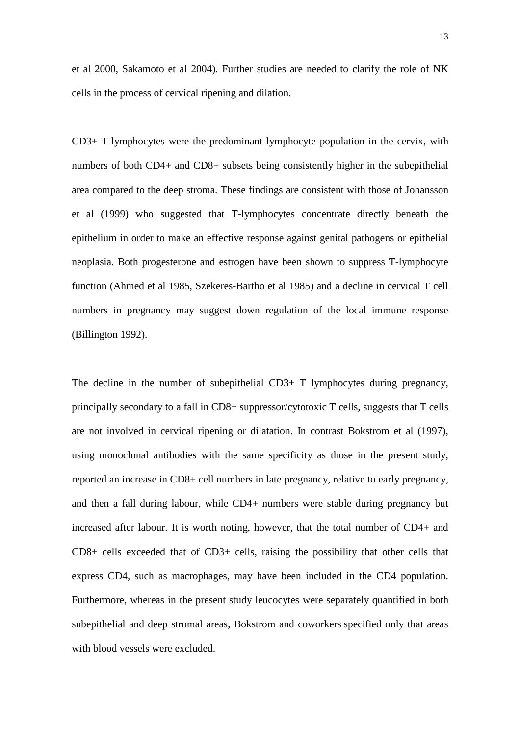et al 2000, Sakamoto et al 2004). Further studies are needed to clarify the role of NK cells in the process of cervical ripening and dilation.

CD3+ T-lymphocytes were the predominant lymphocyte population in the cervix, with numbers of both CD4+ and CD8+ subsets being consistently higher in the subepithelial area compared to the deep stroma. These findings are consistent with those of Johansson et al (1999) who suggested that T-lymphocytes concentrate directly beneath the epithelium in order to make an effective response against genital pathogens or epithelial neoplasia. Both progesterone and estrogen have been shown to suppress T-lymphocyte function (Ahmed et al 1985, Szekeres-Bartho et al 1985) and a decline in cervical T cell numbers in pregnancy may suggest down regulation of the local immune response (Billington 1992).

The decline in the number of subepithelial CD3+ T lymphocytes during pregnancy, principally secondary to a fall in CD8+ suppressor/cytotoxic T cells, suggests that T cells are not involved in cervical ripening or dilatation. In contrast Bokstrom et al (1997), using monoclonal antibodies with the same specificity as those in the present study, reported an increase in CD8+ cell numbers in late pregnancy, relative to early pregnancy, and then a fall during labour, while CD4+ numbers were stable during pregnancy but increased after labour. It is worth noting, however, that the total number of CD4+ and CD8+ cells exceeded that of CD3+ cells, raising the possibility that other cells that express CD4, such as macrophages, may have been included in the CD4 population. Furthermore, whereas in the present study leucocytes were separately quantified in both subepithelial and deep stromal areas, Bokstrom and coworkers specified only that areas with blood vessels were excluded.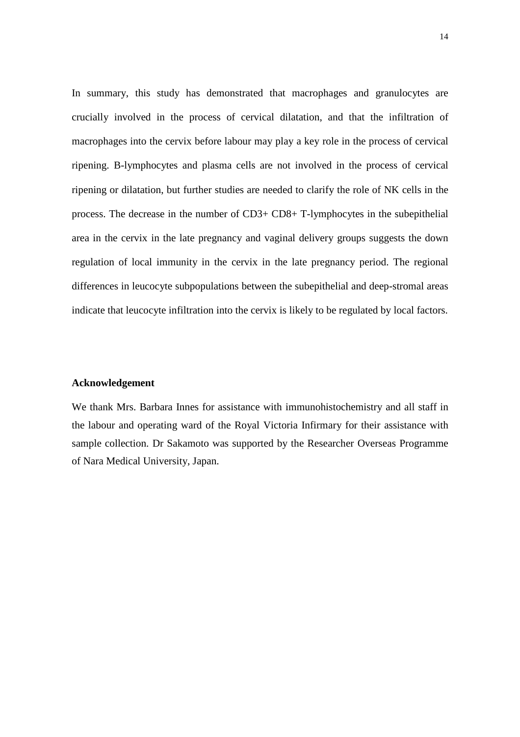In summary, this study has demonstrated that macrophages and granulocytes are crucially involved in the process of cervical dilatation, and that the infiltration of macrophages into the cervix before labour may play a key role in the process of cervical ripening. B-lymphocytes and plasma cells are not involved in the process of cervical ripening or dilatation, but further studies are needed to clarify the role of NK cells in the process. The decrease in the number of CD3+ CD8+ T-lymphocytes in the subepithelial area in the cervix in the late pregnancy and vaginal delivery groups suggests the down regulation of local immunity in the cervix in the late pregnancy period. The regional differences in leucocyte subpopulations between the subepithelial and deep-stromal areas indicate that leucocyte infiltration into the cervix is likely to be regulated by local factors.

#### **Acknowledgement**

We thank Mrs. Barbara Innes for assistance with immunohistochemistry and all staff in the labour and operating ward of the Royal Victoria Infirmary for their assistance with sample collection. Dr Sakamoto was supported by the Researcher Overseas Programme of Nara Medical University, Japan.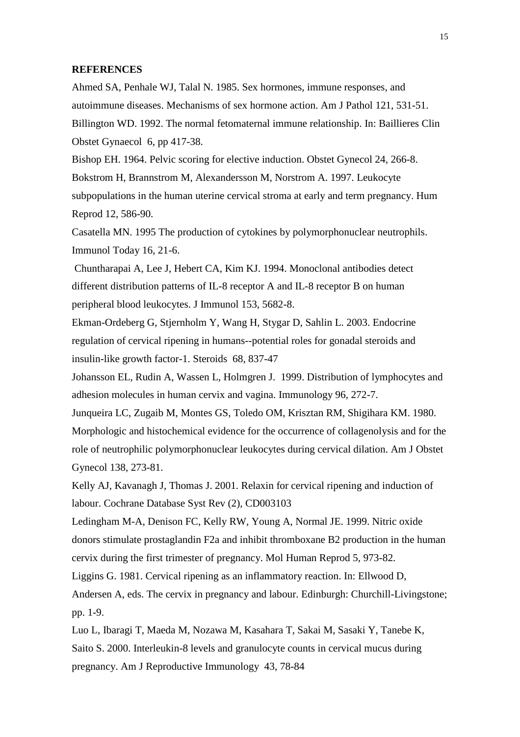#### **REFERENCES**

Ahmed SA, Penhale WJ, Talal N. 1985. Sex hormones, immune responses, and autoimmune diseases. Mechanisms of sex hormone action. Am J Pathol 121, 531-51. Billington WD. 1992. The normal fetomaternal immune relationship. In: Baillieres Clin Obstet Gynaecol 6, pp 417-38.

Bishop EH. 1964. Pelvic scoring for elective induction. Obstet Gynecol 24, 266-8. Bokstrom H, Brannstrom M, Alexandersson M, Norstrom A. 1997. Leukocyte subpopulations in the human uterine cervical stroma at early and term pregnancy. Hum Reprod 12, 586-90.

Casatella MN. 1995 The production of cytokines by polymorphonuclear neutrophils. Immunol Today 16, 21-6.

 Chuntharapai A, Lee J, Hebert CA, Kim KJ. 1994. Monoclonal antibodies detect different distribution patterns of IL-8 receptor A and IL-8 receptor B on human peripheral blood leukocytes. J Immunol 153, 5682-8.

Ekman-Ordeberg G, Stjernholm Y, Wang H, Stygar D, Sahlin L. 2003. Endocrine regulation of cervical ripening in humans--potential roles for gonadal steroids and insulin-like growth factor-1. Steroids 68, 837-47

Johansson EL, Rudin A, Wassen L, Holmgren J. 1999. Distribution of lymphocytes and adhesion molecules in human cervix and vagina. Immunology 96, 272-7.

Junqueira LC, Zugaib M, Montes GS, Toledo OM, Krisztan RM, Shigihara KM. 1980. Morphologic and histochemical evidence for the occurrence of collagenolysis and for the role of neutrophilic polymorphonuclear leukocytes during cervical dilation. Am J Obstet Gynecol 138, 273-81.

Kelly AJ, Kavanagh J, Thomas J. 2001. Relaxin for cervical ripening and induction of labour. Cochrane Database Syst Rev (2), CD003103

Ledingham M-A, Denison FC, Kelly RW, Young A, Normal JE. 1999. Nitric oxide donors stimulate prostaglandin F2a and inhibit thromboxane B2 production in the human cervix during the first trimester of pregnancy. Mol Human Reprod 5, 973-82.

Liggins G. 1981. Cervical ripening as an inflammatory reaction. In: Ellwood D,

Andersen A, eds. The cervix in pregnancy and labour. Edinburgh: Churchill-Livingstone; pp. 1-9.

Luo L, Ibaragi T, Maeda M, Nozawa M, Kasahara T, Sakai M, Sasaki Y, Tanebe K, Saito S. 2000. Interleukin-8 levels and granulocyte counts in cervical mucus during pregnancy. Am J Reproductive Immunology 43, 78-84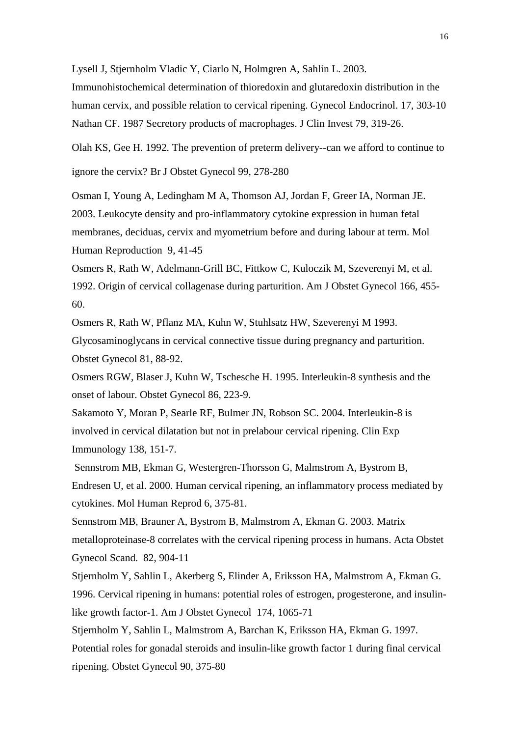Lysell J, Stjernholm Vladic Y, Ciarlo N, Holmgren A, Sahlin L. 2003. Immunohistochemical determination of thioredoxin and glutaredoxin distribution in the human cervix, and possible relation to cervical ripening. Gynecol Endocrinol. 17, 303-10 Nathan CF. 1987 Secretory products of macrophages. J Clin Invest 79, 319-26.

Olah KS, Gee H. 1992. The prevention of preterm delivery--can we afford to continue to ignore the cervix? Br J Obstet Gynecol 99, 278-280

Osman I, Young A, Ledingham M A, Thomson AJ, Jordan F, Greer IA, Norman JE. 2003. Leukocyte density and pro-inflammatory cytokine expression in human fetal membranes, deciduas, cervix and myometrium before and during labour at term. Mol Human Reproduction 9, 41-45

Osmers R, Rath W, Adelmann-Grill BC, Fittkow C, Kuloczik M, Szeverenyi M, et al. 1992. Origin of cervical collagenase during parturition. Am J Obstet Gynecol 166, 455- 60.

Osmers R, Rath W, Pflanz MA, Kuhn W, Stuhlsatz HW, Szeverenyi M 1993. Glycosaminoglycans in cervical connective tissue during pregnancy and parturition. Obstet Gynecol 81, 88-92.

Osmers RGW, Blaser J, Kuhn W, Tschesche H. 1995. Interleukin-8 synthesis and the onset of labour. Obstet Gynecol 86, 223-9.

Sakamoto Y, Moran P, Searle RF, Bulmer JN, Robson SC. 2004. Interleukin-8 is involved in cervical dilatation but not in prelabour cervical ripening. Clin Exp Immunology 138, 151-7.

 Sennstrom MB, Ekman G, Westergren-Thorsson G, Malmstrom A, Bystrom B, Endresen U, et al. 2000. Human cervical ripening, an inflammatory process mediated by cytokines. Mol Human Reprod 6, 375-81.

Sennstrom MB, Brauner A, Bystrom B, Malmstrom A, Ekman G. 2003. Matrix metalloproteinase-8 correlates with the cervical ripening process in humans. Acta Obstet Gynecol Scand. 82, 904-11

Stjernholm Y, Sahlin L, Akerberg S, Elinder A, Eriksson HA, Malmstrom A, Ekman G. 1996. Cervical ripening in humans: potential roles of estrogen, progesterone, and insulinlike growth factor-1. Am J Obstet Gynecol 174, 1065-71

Stjernholm Y, Sahlin L, Malmstrom A, Barchan K, Eriksson HA, Ekman G. 1997. Potential roles for gonadal steroids and insulin-like growth factor 1 during final cervical ripening. Obstet Gynecol 90, 375-80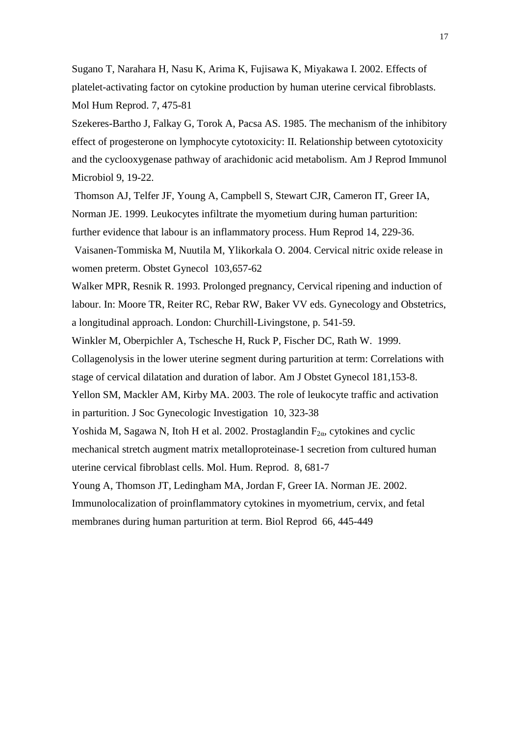Sugano T, Narahara H, Nasu K, Arima K, Fujisawa K, Miyakawa I. 2002. Effects of platelet-activating factor on cytokine production by human uterine cervical fibroblasts. Mol Hum Reprod. 7, 475-81

Szekeres-Bartho J, Falkay G, Torok A, Pacsa AS. 1985. The mechanism of the inhibitory effect of progesterone on lymphocyte cytotoxicity: II. Relationship between cytotoxicity and the cyclooxygenase pathway of arachidonic acid metabolism. Am J Reprod Immunol Microbiol 9, 19-22.

 Thomson AJ, Telfer JF, Young A, Campbell S, Stewart CJR, Cameron IT, Greer IA, Norman JE. 1999. Leukocytes infiltrate the myometium during human parturition: further evidence that labour is an inflammatory process. Hum Reprod 14, 229-36.

 Vaisanen-Tommiska M, Nuutila M, Ylikorkala O. 2004. Cervical nitric oxide release in women preterm. Obstet Gynecol 103,657-62

Walker MPR, Resnik R. 1993. Prolonged pregnancy, Cervical ripening and induction of labour. In: Moore TR, Reiter RC, Rebar RW, Baker VV eds. Gynecology and Obstetrics, a longitudinal approach. London: Churchill-Livingstone, p. 541-59.

Winkler M, Oberpichler A, Tschesche H, Ruck P, Fischer DC, Rath W. 1999.

Collagenolysis in the lower uterine segment during parturition at term: Correlations with stage of cervical dilatation and duration of labor. Am J Obstet Gynecol 181,153-8.

Yellon SM, Mackler AM, Kirby MA. 2003. The role of leukocyte traffic and activation in parturition. J Soc Gynecologic Investigation 10, 323-38

Yoshida M, Sagawa N, Itoh H et al. 2002. Prostaglandin  $F_{2\alpha}$ , cytokines and cyclic mechanical stretch augment matrix metalloproteinase-1 secretion from cultured human uterine cervical fibroblast cells. Mol. Hum. Reprod. 8, 681-7

Young A, Thomson JT, Ledingham MA, Jordan F, Greer IA. Norman JE. 2002. Immunolocalization of proinflammatory cytokines in myometrium, cervix, and fetal membranes during human parturition at term. Biol Reprod 66, 445-449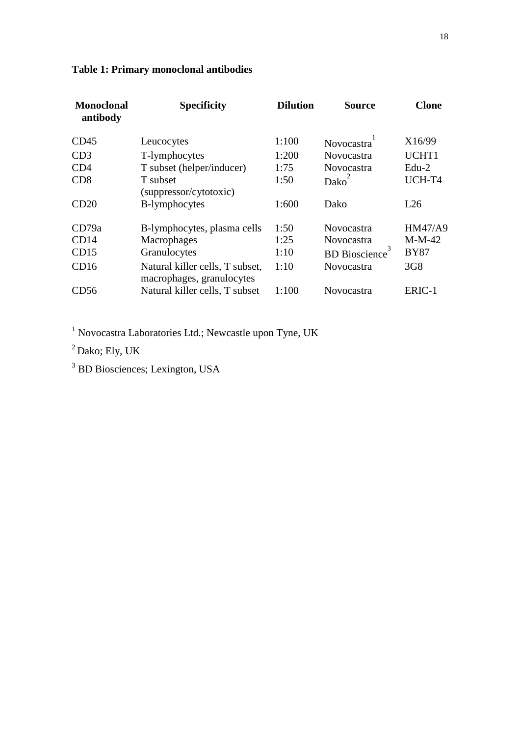| <b>Monoclonal</b><br>antibody | <b>Specificity</b>                                           | <b>Dilution</b> | <b>Source</b>             | <b>Clone</b>   |
|-------------------------------|--------------------------------------------------------------|-----------------|---------------------------|----------------|
| CD45                          | Leucocytes                                                   | 1:100           | Novocastra                | X16/99         |
| CD3                           | T-lymphocytes                                                | 1:200           | Novocastra                | UCHT1          |
| CD4                           | T subset (helper/inducer)                                    | 1:75            | <b>Novocastra</b>         | $Edu-2$        |
| CD8                           | T subset<br>(suppressor/cytotoxic)                           | 1:50            | Dako                      | UCH-T4         |
| CD20                          | <b>B-lymphocytes</b>                                         | 1:600           | Dako                      | L26            |
| CD79a                         | B-lymphocytes, plasma cells                                  | 1:50            | <b>Novocastra</b>         | <b>HM47/A9</b> |
| CD14                          | Macrophages                                                  | 1:25            | <b>Novocastra</b>         | $M-M-42$       |
| CD15                          | Granulocytes                                                 | 1:10            | 3<br><b>BD</b> Bioscience | <b>BY87</b>    |
| CD16                          | Natural killer cells, T subset,<br>macrophages, granulocytes | 1:10            | <b>Novocastra</b>         | 3G8            |
| CD56                          | Natural killer cells, T subset                               | 1:100           | <b>Novocastra</b>         | ERIC-1         |

# **Table 1: Primary monoclonal antibodies**

<sup>1</sup> Novocastra Laboratories Ltd.; Newcastle upon Tyne, UK

 $^{2}$ Dako; Ely, UK

<sup>3</sup> BD Biosciences; Lexington, USA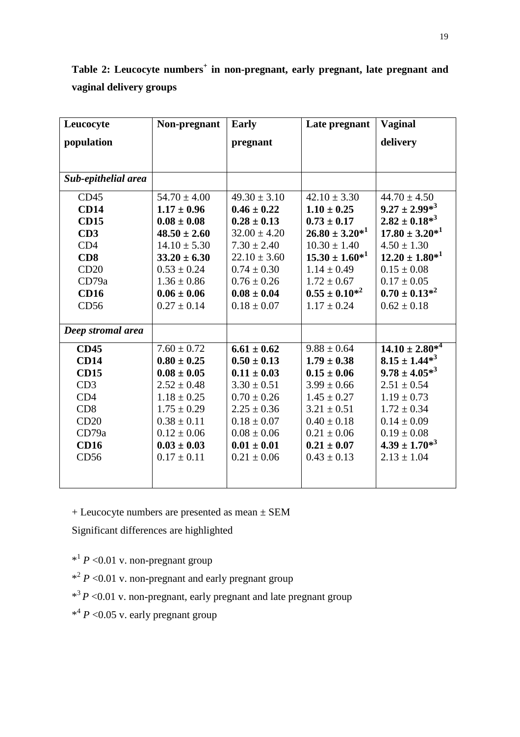| Leucocyte           | Non-pregnant     | <b>Early</b>     | Late pregnant         | <b>Vaginal</b>        |
|---------------------|------------------|------------------|-----------------------|-----------------------|
| population          |                  | pregnant         |                       | delivery              |
|                     |                  |                  |                       |                       |
|                     |                  |                  |                       |                       |
| Sub-epithelial area |                  |                  |                       |                       |
| CD45                | $54.70 \pm 4.00$ | $49.30 \pm 3.10$ | $42.10 \pm 3.30$      | $44.70 \pm 4.50$      |
| <b>CD14</b>         | $1.17 \pm 0.96$  | $0.46 \pm 0.22$  | $1.10 \pm 0.25$       | $9.27 \pm 2.99^{*3}$  |
| <b>CD15</b>         | $0.08 \pm 0.08$  | $0.28 \pm 0.13$  | $0.73 \pm 0.17$       | $2.82 \pm 0.18^{*3}$  |
| CD3                 | $48.50 \pm 2.60$ | $32.00 \pm 4.20$ | $26.80 \pm 3.20^{*1}$ | $17.80 \pm 3.20^{*1}$ |
| CD4                 | $14.10 \pm 5.30$ | $7.30 \pm 2.40$  | $10.30 \pm 1.40$      | $4.50 \pm 1.30$       |
| CD8                 | $33.20 \pm 6.30$ | $22.10 \pm 3.60$ | $15.30 \pm 1.60^{*1}$ | $12.20 \pm 1.80^{*1}$ |
| CD20                | $0.53 \pm 0.24$  | $0.74 \pm 0.30$  | $1.14 \pm 0.49$       | $0.15 \pm 0.08$       |
| CD79a               | $1.36 \pm 0.86$  | $0.76 \pm 0.26$  | $1.72 \pm 0.67$       | $0.17 \pm 0.05$       |
| CD16                | $0.06 \pm 0.06$  | $0.08 \pm 0.04$  | $0.55 \pm 0.10^{*2}$  | $0.70 \pm 0.13^{*2}$  |
| CD56                | $0.27 \pm 0.14$  | $0.18 \pm 0.07$  | $1.17 \pm 0.24$       | $0.62 \pm 0.18$       |
|                     |                  |                  |                       |                       |
| Deep stromal area   |                  |                  |                       |                       |
| <b>CD45</b>         | $7.60 \pm 0.72$  | $6.61 \pm 0.62$  | $9.88 \pm 0.64$       | $14.10 \pm 2.80^{*4}$ |
| <b>CD14</b>         | $0.80 \pm 0.25$  | $0.50 \pm 0.13$  | $1.79 \pm 0.38$       | $8.15 \pm 1.44^{*3}$  |
| <b>CD15</b>         | $0.08 \pm 0.05$  | $0.11 \pm 0.03$  | $0.15 \pm 0.06$       | $9.78 \pm 4.05^{*3}$  |
| CD3                 | $2.52 \pm 0.48$  | $3.30 \pm 0.51$  | $3.99 \pm 0.66$       | $2.51 \pm 0.54$       |
| CD4                 | $1.18 \pm 0.25$  | $0.70 \pm 0.26$  | $1.45 \pm 0.27$       | $1.19 \pm 0.73$       |
| CD <sub>8</sub>     | $1.75 \pm 0.29$  | $2.25 \pm 0.36$  | $3.21 \pm 0.51$       | $1.72 \pm 0.34$       |
| CD20                | $0.38 \pm 0.11$  | $0.18 \pm 0.07$  | $0.40 \pm 0.18$       | $0.14 \pm 0.09$       |
| CD79a               | $0.12 \pm 0.06$  | $0.08 \pm 0.06$  | $0.21 \pm 0.06$       | $0.19 \pm 0.08$       |
| <b>CD16</b>         | $0.03 \pm 0.03$  | $0.01 \pm 0.01$  | $0.21 \pm 0.07$       | $4.39 \pm 1.70^{*3}$  |
| CD56                | $0.17 \pm 0.11$  | $0.21 \pm 0.06$  | $0.43 \pm 0.13$       | $2.13 \pm 1.04$       |
|                     |                  |                  |                       |                       |
|                     |                  |                  |                       |                       |

**Table 2: Leucocyte numbers<sup>+</sup> in non-pregnant, early pregnant, late pregnant and vaginal delivery groups** 

+ Leucocyte numbers are presented as mean ± SEM

Significant differences are highlighted

- $*$ <sup>1</sup> *P* < 0.01 v. non-pregnant group
- $*^{2} P$  <0.01 v. non-pregnant and early pregnant group
- <sup>\*3</sup> *P* < 0.01 v. non-pregnant, early pregnant and late pregnant group
- <sup>\*4</sup> *P* <0.05 v. early pregnant group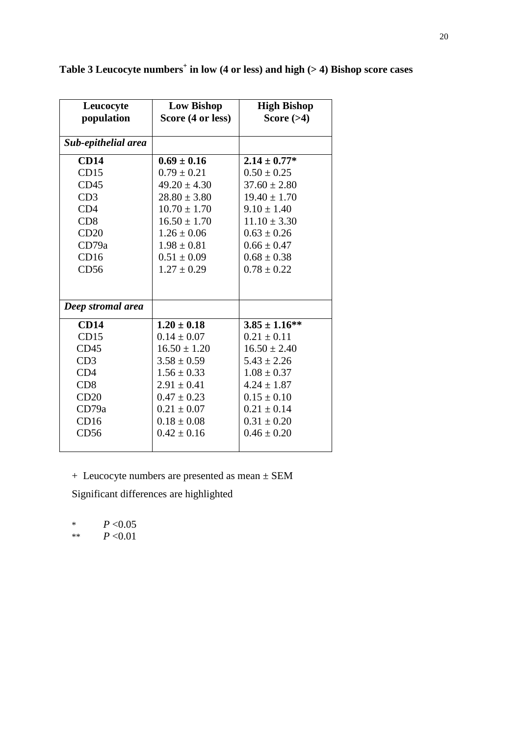| Leucocyte<br>population | <b>Low Bishop</b><br>Score (4 or less) | <b>High Bishop</b><br>Score $(>4)$ |
|-------------------------|----------------------------------------|------------------------------------|
| Sub-epithelial area     |                                        |                                    |
| <b>CD14</b>             | $0.69 \pm 0.16$                        | $2.14 \pm 0.77*$                   |
| CD15                    | $0.79 \pm 0.21$                        | $0.50 \pm 0.25$                    |
| CD45                    | $49.20 \pm 4.30$                       | $37.60 \pm 2.80$                   |
| CD3                     | $28.80 \pm 3.80$                       | $19.40 \pm 1.70$                   |
| CD4                     | $10.70 \pm 1.70$                       | $9.10 \pm 1.40$                    |
| CD <sub>8</sub>         | $16.50 \pm 1.70$                       | $11.10 \pm 3.30$                   |
| CD20                    | $1.26 \pm 0.06$                        | $0.63 \pm 0.26$                    |
| CD79a                   | $1.98 \pm 0.81$                        | $0.66 \pm 0.47$                    |
| CD16                    | $0.51 \pm 0.09$                        | $0.68 \pm 0.38$                    |
| CD56                    | $1.27 \pm 0.29$                        | $0.78 \pm 0.22$                    |
|                         |                                        |                                    |
|                         |                                        |                                    |
| Deep stromal area       |                                        |                                    |
| <b>CD14</b>             | $1.20 \pm 0.18$                        | $3.85 \pm 1.16**$                  |
| CD15                    | $0.14 \pm 0.07$                        | $0.21 \pm 0.11$                    |
| CD45                    | $16.50 \pm 1.20$                       | $16.50 \pm 2.40$                   |
| CD3                     | $3.58 \pm 0.59$                        | $5.43 \pm 2.26$                    |
| CD4                     | $1.56 \pm 0.33$                        | $1.08 \pm 0.37$                    |
| CD <sub>8</sub>         | $2.91 \pm 0.41$                        | $4.24 \pm 1.87$                    |
| CD20                    | $0.47 \pm 0.23$                        | $0.15 \pm 0.10$                    |
| CD79a                   | $0.21 \pm 0.07$                        | $0.21 \pm 0.14$                    |
| CD16                    | $0.18 \pm 0.08$                        | $0.31 \pm 0.20$                    |
| CD56                    | $0.42 \pm 0.16$                        | $0.46 \pm 0.20$                    |
|                         |                                        |                                    |

**Table 3 Leucocyte numbers<sup>+</sup> in low (4 or less) and high (> 4) Bishop score cases** 

+ Leucocyte numbers are presented as mean ± SEM

Significant differences are highlighted

| ∗    | P < 0.05 |
|------|----------|
| $**$ | P < 0.01 |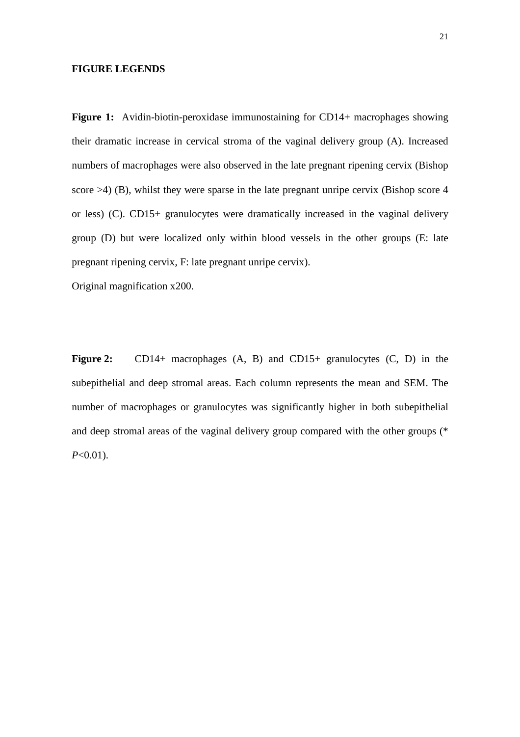#### **FIGURE LEGENDS**

**Figure 1:** Avidin-biotin-peroxidase immunostaining for CD14+ macrophages showing their dramatic increase in cervical stroma of the vaginal delivery group (A). Increased numbers of macrophages were also observed in the late pregnant ripening cervix (Bishop score >4) (B), whilst they were sparse in the late pregnant unripe cervix (Bishop score 4 or less) (C). CD15+ granulocytes were dramatically increased in the vaginal delivery group (D) but were localized only within blood vessels in the other groups (E: late pregnant ripening cervix, F: late pregnant unripe cervix).

Original magnification x200.

Figure 2: CD14+ macrophages (A, B) and CD15+ granulocytes (C, D) in the subepithelial and deep stromal areas. Each column represents the mean and SEM. The number of macrophages or granulocytes was significantly higher in both subepithelial and deep stromal areas of the vaginal delivery group compared with the other groups (\* *P*<0.01).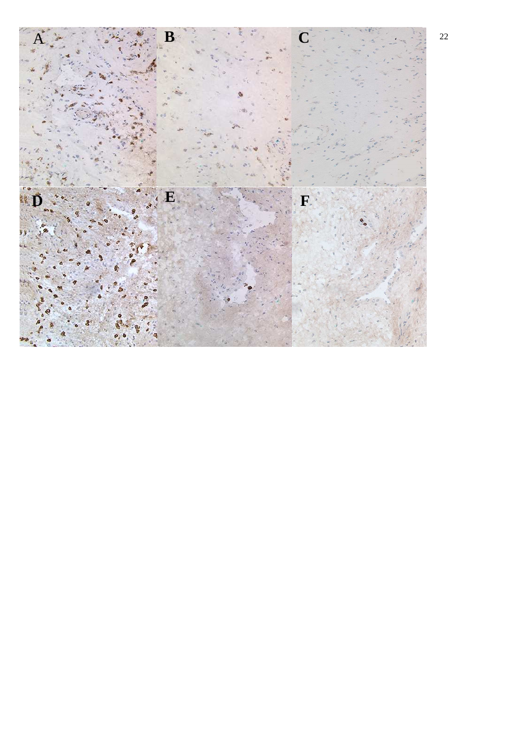